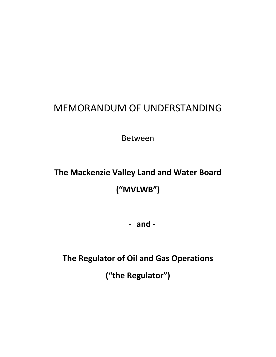# MEMORANDUM OF UNDERSTANDING

Between

# **The Mackenzie Valley Land and Water Board ("MVLWB")**

- **and -**

**The Regulator of Oil and Gas Operations**

**("the Regulator")**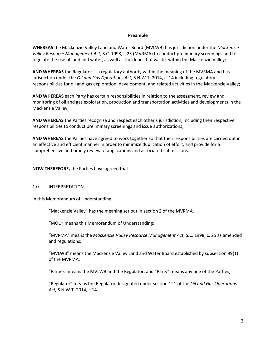#### **Preamble**

**WHEREAS** the Mackenzie Valley Land and Water Board (MVLWB) has jurisdiction under the *Mackenzie Valley Resource Management Act,* S.C. 1998, c.25 (MVRMA) to conduct preliminary screenings and to regulate the use of land and water, as well as the deposit of waste, within the Mackenzie Valley;

**AND WHEREAS** the Regulator is a regulatory authority within the meaning of the MVRMA and has jurisdiction under the *Oil and Gas Operations Act,* S.N.W.T. 2014, c .14 including regulatory responsibilities for oil and gas exploration, development, and related activities in the Mackenzie Valley;

**AND WHEREAS** each Party has certain responsibilities in relation to the assessment, review and monitoring of oil and gas exploration, production and transportation activities and developments in the Mackenzie Valley;

**AND WHEREAS** the Parties recognize and respect each other's jurisdiction, including their respective responsibilities to conduct preliminary screenings and issue authorizations;

**AND WHEREAS** the Parties have agreed to work together so that their responsibilities are carried out in an effective and efficient manner in order to minimize duplication of effort, and provide for a comprehensive and timely review of applications and associated submissions.

**NOW THEREFORE,** the Parties have agreed that:

#### 1.0 INTERPRETATION

In this Memorandum of Understanding:

"Mackenzie Valley" has the meaning set out in section 2 of the MVRMA.

"MOU" means this Memorandum of Understanding;

"MVRMA" means the *Mackenzie Valley Resource Management Act*, S.C. 1998, c. 25 as amended and regulations;

"MVLWB" means the Mackenzie Valley Land and Water Board established by subsection 99(1) of the MVRMA;

"Parties" means the MVLWB and the Regulator, and "Party" means any one of the Parties;

"Regulator" means the Regulator designated under section 121 of the *Oil and Gas Operations Act,* S.N.W.T. 2014, c.14.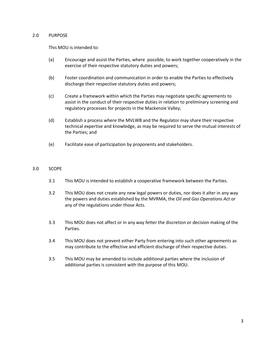#### 2.0 PURPOSE

This MOU is intended to:

- (a) Encourage and assist the Parties, where possible, to work together cooperatively in the exercise of their respective statutory duties and powers;
- (b) Foster coordination and communication in order to enable the Parties to effectively discharge their respective statutory duties and powers;
- (c) Create a framework within which the Parties may negotiate specific agreements to assist in the conduct of their respective duties in relation to preliminary screening and regulatory processes for projects in the Mackenzie Valley;
- (d) Establish a process where the MVLWB and the Regulator may share their respective technical expertise and knowledge, as may be required to serve the mutual interests of the Parties; and
- (e) Facilitate ease of participation by proponents and stakeholders.

# 3.0 SCOPE

- 3.1 This MOU is intended to establish a cooperative framework between the Parties.
- 3.2 This MOU does not create any new legal powers or duties, nor does it alter in any way the powers and duties established by the MVRMA, the *Oil and Gas Operations Act* or any of the regulations under those Acts.
- 3.3 This MOU does not affect or in any way fetter the discretion or decision making of the Parties.
- 3.4 This MOU does not prevent either Party from entering into such other agreements as may contribute to the effective and efficient discharge of their respective duties.
- 3.5 This MOU may be amended to include additional parties where the inclusion of additional parties is consistent with the purpose of this MOU.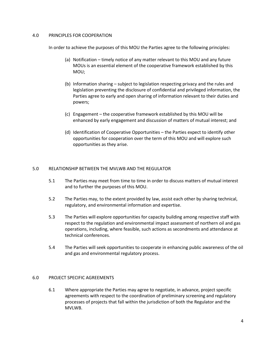#### 4.0 PRINCIPLES FOR COOPERATION

In order to achieve the purposes of this MOU the Parties agree to the following principles:

- (a) Notification timely notice of any matter relevant to this MOU and any future MOUs is an essential element of the cooperative framework established by this MOU;
- (b) Information sharing subject to legislation respecting privacy and the rules and legislation preventing the disclosure of confidential and privileged information, the Parties agree to early and open sharing of information relevant to their duties and powers;
- (c) Engagement the cooperative framework established by this MOU will be enhanced by early engagement and discussion of matters of mutual interest; and
- (d) Identification of Cooperative Opportunities the Parties expect to identify other opportunities for cooperation over the term of this MOU and will explore such opportunities as they arise.

# 5.0 RELATIONSHIP BETWEEN THE MVLWB AND THE REGULATOR

- 5.1 The Parties may meet from time to time in order to discuss matters of mutual interest and to further the purposes of this MOU.
- 5.2 The Parties may, to the extent provided by law, assist each other by sharing technical, regulatory, and environmental information and expertise.
- 5.3 The Parties will explore opportunities for capacity building among respective staff with respect to the regulation and environmental impact assessment of northern oil and gas operations, including, where feasible, such actions as secondments and attendance at technical conferences.
- 5.4 The Parties will seek opportunities to cooperate in enhancing public awareness of the oil and gas and environmental regulatory process.

#### 6.0 PROJECT SPECIFIC AGREEMENTS

6.1 Where appropriate the Parties may agree to negotiate, in advance, project specific agreements with respect to the coordination of preliminary screening and regulatory processes of projects that fall within the jurisdiction of both the Regulator and the MVLWB.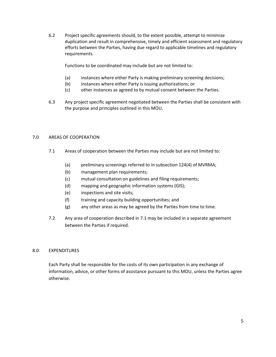6.2 Project specific agreements should, to the extent possible, attempt to minimize duplication and result in comprehensive, timely and efficient assessment and regulatory efforts between the Parties, having due regard to applicable timelines and regulatory requirements.

Functions to be coordinated may include but are not limited to:

- (a) instances where either Party is making preliminary screening decisions;
- (b) instances where either Party is issuing authorizations; or
- (c) other instances as agreed to by mutual consent between the Parties.
- 6.3 Any project specific agreement negotiated between the Parties shall be consistent with the purpose and principles outlined in this MOU.

### 7.0 AREAS OF COOPERATION

- 7.1 Areas of cooperation between the Parties may include but are not limited to:
	- (a) preliminary screenings referred to in subsection 124(4) of MVRMA;
	- (b) management plan requirements;
	- (c) mutual consultation on guidelines and filing requirements;
	- (d) mapping and geographic information systems (GIS);
	- (e) inspections and site visits;
	- (f) training and capacity building opportunities; and
	- (g) any other areas as may be agreed by the Parties from time to time.
- 7.2 Any area of cooperation described in 7.1 may be included in a separate agreement between the Parties if required.

# 8.0 EXPENDITURES

Each Party shall be responsible for the costs of its own participation in any exchange of information, advice, or other forms of assistance pursuant to this MOU, unless the Parties agree otherwise.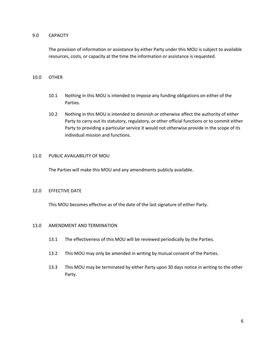### 9.0 CAPACITY

The provision of information or assistance by either Party under this MOU is subject to available resources, costs, or capacity at the time the information or assistance is requested.

## 10.0 OTHER

- 10.1 Nothing in this MOU is intended to impose any funding obligations on either of the Parties.
- 10.2 Nothing in this MOU is intended to diminish or otherwise affect the authority of either Party to carry out its statutory, regulatory, or other official functions or to commit either Party to providing a particular service it would not otherwise provide in the scope of its individual mission and functions.

### 11.0 PUBLIC AVAILABILITY OF MOU

The Parties will make this MOU and any amendments publicly available.

#### 12.0 EFFECTIVE DATE

This MOU becomes effective as of the date of the last signature of either Party.

### 13.0 AMENDMENT AND TERMINATION

- 13.1 The effectiveness of this MOU will be reviewed periodically by the Parties.
- 13.2 This MOU may only be amended in writing by mutual consent of the Parties.
- 13.3 This MOU may be terminated by either Party upon 30 days notice in writing to the other Party.